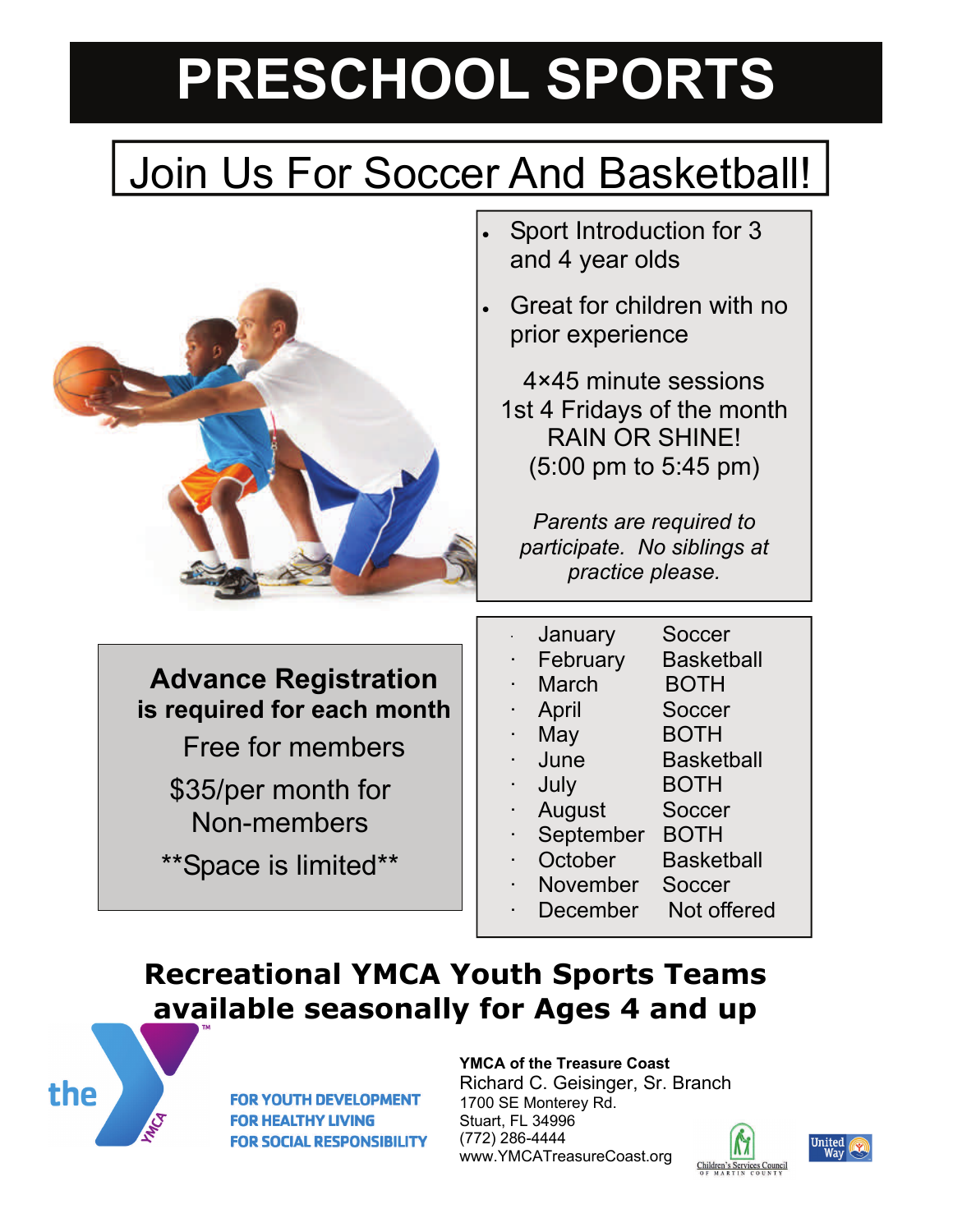# **PRESCHOOL SPORTS**

# Join Us For Soccer And Basketball!



- Sport Introduction for 3 and 4 year olds
- Great for children with no prior experience

4×45 minute sessions 1st 4 Fridays of the month RAIN OR SHINE! (5:00 pm to 5:45 pm)

*Parents are required to participate. No siblings at practice please.* 

**Advance Registration is required for each month**

Free for members

\$35/per month for Non-members

\*\*Space is limited\*\*

January Soccer February Basketball March BOTH April Soccer May BOTH · June Basketball July **BOTH** August Soccer September BOTH October Basketball November Soccer December Not offered

## **Recreational YMCA Youth Sports Teams available seasonally for Ages 4 and up**



**FOR YOUTH DEVELOPMENT FOR HEALTHY LIVING FOR SOCIAL RESPONSIBILITY** 

#### **YMCA of the Treasure Coast**

Richard C. Geisinger, Sr. Branch 1700 SE Monterey Rd. Stuart, FL 34996 (772) 286-4444 www.YMCATreasureCoast.org